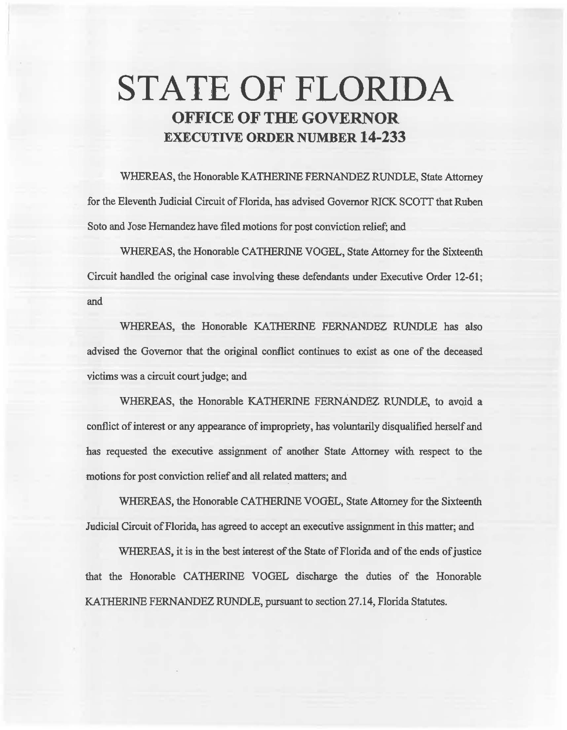# **STATE OF FLORIDA OFFICE OF THE GOVERNOR EXECUTIVE ORDER NUMBER 14-233**

WHEREAS, the Honorable KATHERINE FERNANDEZ RUNDLE, State Attorney for the Eleventh Judicial Circuit of Florida, has advised Governor RICK SCOTT that Ruben Soto and Jose Hernandez have filed motions for post conviction relief; and

WHEREAS, the Honorable CATHERINE VOGEL. State Attorney for the Sixteenth Circuit handled the original case involving these defendants under Executive Order 12-61; and

WHEREAS, the Honorable KATHERINE FERNANDEZ RUNDLE has also advised the Governor that the original conflict continues to exist as one of the deceased victims was a circuit court judge; and

WHEREAS, the Honorable KATHERINE FERNANDEZ RUNDLE, to avoid a conflict of interest or any appearance of impropriety, has voluntarily disqualified herself and has requested the executive assignment of another State Attorney with respect to the motions for post conviction relief and all related matters; and

WHEREAS, the Honorable CATHERINE VOGEL, State Attorney for the Sixteenth Judicial Circuit of Florida, has agreed to accept an executive assignment in this matter; and

WHEREAS, it is in the best interest of the State of Florida and of the ends of justice that the Honorable CATHERINE VOGEL discharge the duties of the Honorable KATHERINE FERNANDEZ RUNDLE, pursuant to section 27 .14, Florida Statutes.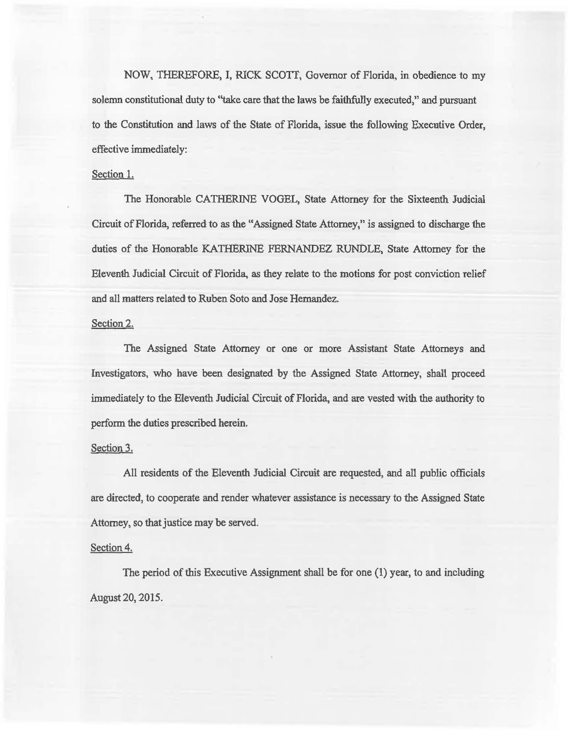NOW, THEREFORE, I, RICK SCOTT, Governor of Florida, in obedience to my solemn constitutional duty to "take care that the laws be faithfully executed," and pursuant to the Constitution and laws of the State of Florida, issue the following Executive Order, effective immediately:

# Section 1.

The Honorable CATHERINE VOGEL, State Attorney for the Sixteenth Judicial Circuit of Florida, referred to as the "Assigned State Attorney,'' is assigned to discharge the duties of the Honorable KATHERINE FERNANDEZ RUNDLE, State Attorney for the Eleventh Judicial Circuit of Florida, as they relate to the motions for post conviction relief and all matters related to Ruben Soto and Jose Hernandez.

## Section 2.

The Assigned State Attorney or one or more Assistant State Attorneys and Investigators, who have been designated by the Assigned State Attorney, shalt proceed immediately to the Eleventh Judicial Circuit of Florida, and are vested with the authority to perform the duties prescribed herein.

#### Section 3.

All residents of the Eleventh Judicial Circuit are requested, and all public officials are directed, to cooperate and render whatever assistance is necessary to the Assigned State Attorney, so that justice may be served.

## Section 4.

The period of this Executive Assignment shall be for one (1) year, to and including August 20, 2015.